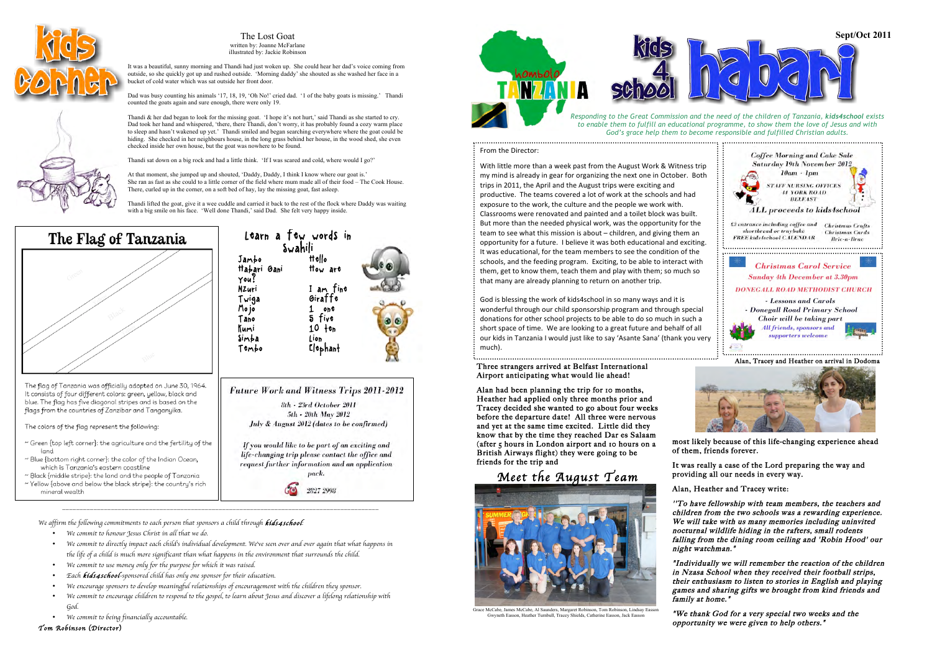*\_\_\_\_\_\_\_\_\_\_\_\_\_\_\_\_\_\_\_\_\_\_\_\_\_\_\_\_\_\_\_\_\_\_\_\_\_\_\_\_\_\_\_\_\_\_\_\_\_\_\_\_\_\_\_\_\_\_\_\_\_\_\_\_\_\_\_\_\_\_\_\_\_\_\_\_\_\_\_\_\_\_\_\_\_\_\_\_\_\_\_*

- *We commit to honour Jesus Christ in all that we do.*
- *We commit to directly impact each child*'*s individual development. We*'*ve seen over and over again that what happens in the life of a child is much more significant than what happens in the environment that surrounds the child.*
- *We commit to use money only for the purpose for which it was raised.*
- *Each kids4school-sponsored child has only one sponsor for their education.*
- *We encourage sponsors to develop meaningful relationships of encouragement with the children they sponsor.*
- *We commit to encourage children to respond to the gospel, to learn about Jesus and discover a lifelong relationship with God.*
- *We commit to being financially accountable.*

*Tom Robinson* (*Director*)

God is blessing the work of kids4school in so many ways and it is wonderful through our child sponsorship program and through special donations for other school projects to be able to do so much in such a short space of time. We are looking to a great future and behalf of all our kids in Tanzania I would just like to say 'Asante Sana' (thank you very much).

Thandi & her dad began to look for the missing goat. 'I hope it's not hurt,' said Thandi as she started to cry. Dad took her hand and whispered, 'there, there Thandi, don't worry, it has probably found a cozy warm place to sleep and hasn't wakened up yet.' Thandi smiled and began searching everywhere where the goat could be hiding. She checked in her neighbours house, in the long grass behind her house, in the wood shed, she even checked inside her own house, but the goat was nowhere to be found.

Thandi lifted the goat, give it a wee cuddle and carried it back to the rest of the flock where Daddy was waiting with a big smile on his face. 'Well done Thandi,' said Dad. She felt very happy inside.



The flag of Tanzania was officially adopted on June 30, 1964. It consists of four different colors: green, yellow, black and blue. The flag has five diagonal stripes and is based on the flags from the countries of Zanzibar and Tanganyika.

The colors of the flag represent the following:

- ~ Green {top left corner}: the agriculture and the fertility of the land
- ~ Blue {bottom right corner}: the color of the Indian Ocean, which is Tanzania's eastern coastline
- ~ Black {middle stripe}: the land and the people of Tanzania ~ Yellow {above and below the black stripe}: the country's rich mineral wealth

*We affirm the following commitments to each person that sponsors a child through kids4school<sup>:</sup>* 

most likely because of this life-changing experience ahead of them, friends forever.



# From the Director:



It was really a case of the Lord preparing the way and providing all our needs in every way.

Alan, Heather and Tracey write:

''To have fellowship with team members, the teachers and children from the two schools was a rewarding experience. We will take with us many memories including uninvited nocturnal wildlife hiding in the rafters, small rodents falling from the dining room ceiling and 'Robin Hood' our night watchman."

"Individually we will remember the reaction of the children in Nzasa School when they received their football strips, their enthusiasm to listen to stories in English and playing games and sharing gifts we brought from kind friends and family at home."

"We thank God for a very special two weeks and the opportunity we were given to help others."



The Lost Goat written by: Joanne McFarlane illustrated by: Jackie Robinson

It was a beautiful, sunny morning and Thandi had just woken up. She could hear her dad's voice coming from outside, so she quickly got up and rushed outside. 'Morning daddy' she shouted as she washed her face in a bucket of cold water which was sat outside her front door.

Dad was busy counting his animals '17, 18, 19, 'Oh No!' cried dad. '1 of the baby goats is missing.' Thandi counted the goats again and sure enough, there were only 19.

Thandi sat down on a big rock and had a little think. 'If I was scared and cold, where would I go?'

At that moment, she jumped up and shouted, 'Daddy, Daddy, I think I know where our goat is.' She ran as fast as she could to a little corner of the field where mum made all of their food – The Cook House. There, curled up in the corner, on a soft bed of hay, lay the missing goat, fast asleep.



request further information and an application pack. 2827 2998

Classrooms were renovated and painted and a toilet block was built. But more than the needed physical work, was the opportunity for the team to see what this mission is about – children, and giving them an opportunity for a future. I believe it was both educational and exciting. It was educational, for the team members to see the condition of the schools, and the feeding program. Exciting, to be able to interact with them, get to know them, teach them and play with them; so much so that many are already planning to return on another trip.



# Three strangers arrived at Belfast International Airport anticipating what would lie ahead!

Alan had been planning the trip for 10 months, Heather had applied only three months prior and Tracey decided she wanted to go about four weeks before the departure date! All three were nervous and yet at the same time excited. Little did they know that by the time they reached Dar es Salaam (after 5 hours in London airport and 10 hours on a British Airways flight) they were going to be friends for the trip and